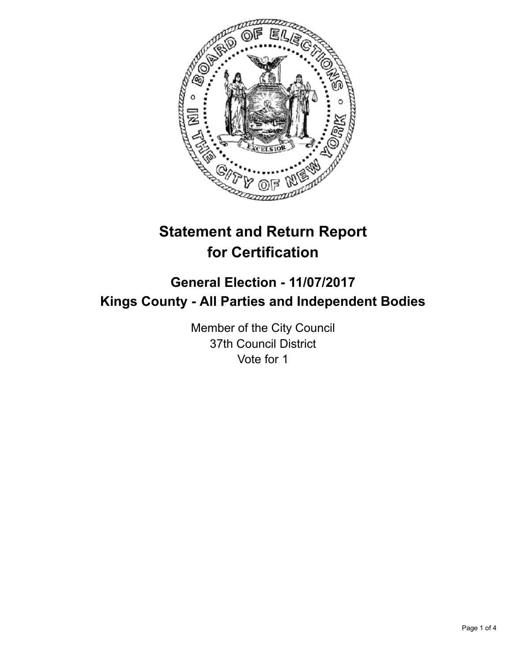

# **Statement and Return Report for Certification**

## **General Election - 11/07/2017 Kings County - All Parties and Independent Bodies**

Member of the City Council 37th Council District Vote for 1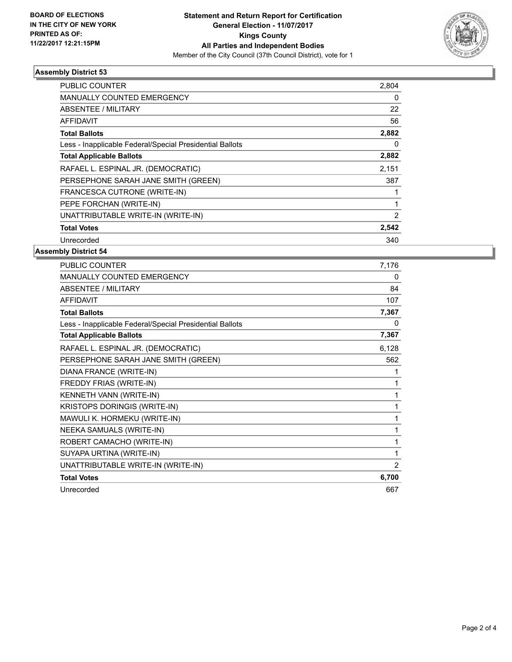

#### **Assembly District 53**

| <b>PUBLIC COUNTER</b>                                    | 2,804          |
|----------------------------------------------------------|----------------|
| <b>MANUALLY COUNTED EMERGENCY</b>                        | 0              |
| ABSENTEE / MILITARY                                      | 22             |
| <b>AFFIDAVIT</b>                                         | 56             |
| <b>Total Ballots</b>                                     | 2,882          |
| Less - Inapplicable Federal/Special Presidential Ballots | 0              |
| <b>Total Applicable Ballots</b>                          | 2,882          |
| RAFAEL L. ESPINAL JR. (DEMOCRATIC)                       | 2,151          |
| PERSEPHONE SARAH JANE SMITH (GREEN)                      | 387            |
| FRANCESCA CUTRONE (WRITE-IN)                             |                |
| PEPE FORCHAN (WRITE-IN)                                  |                |
| UNATTRIBUTABLE WRITE-IN (WRITE-IN)                       | $\overline{2}$ |
| <b>Total Votes</b>                                       | 2,542          |
| Unrecorded                                               | 340            |

### **Assembly District 54**

| <b>PUBLIC COUNTER</b>                                    | 7,176 |
|----------------------------------------------------------|-------|
| <b>MANUALLY COUNTED EMERGENCY</b>                        | 0     |
| <b>ABSENTEE / MILITARY</b>                               | 84    |
| <b>AFFIDAVIT</b>                                         | 107   |
| <b>Total Ballots</b>                                     | 7,367 |
| Less - Inapplicable Federal/Special Presidential Ballots | 0     |
| <b>Total Applicable Ballots</b>                          | 7,367 |
| RAFAEL L. ESPINAL JR. (DEMOCRATIC)                       | 6,128 |
| PERSEPHONE SARAH JANE SMITH (GREEN)                      | 562   |
| DIANA FRANCE (WRITE-IN)                                  |       |
| FREDDY FRIAS (WRITE-IN)                                  |       |
| KENNETH VANN (WRITE-IN)                                  | 1     |
| KRISTOPS DORINGIS (WRITE-IN)                             | 1     |
| MAWULI K. HORMEKU (WRITE-IN)                             | 1     |
| NEEKA SAMUALS (WRITE-IN)                                 | 1     |
| ROBERT CAMACHO (WRITE-IN)                                | 1     |
| SUYAPA URTINA (WRITE-IN)                                 | 1     |
| UNATTRIBUTABLE WRITE-IN (WRITE-IN)                       | 2     |
| <b>Total Votes</b>                                       | 6,700 |
| Unrecorded                                               | 667   |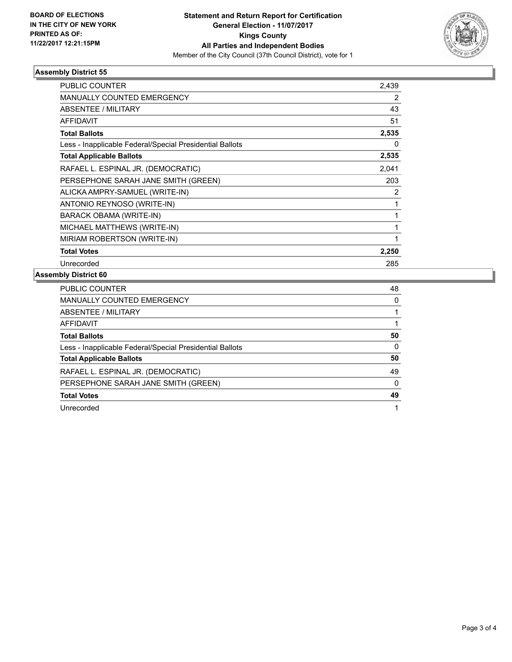

#### **Assembly District 55**

| <b>PUBLIC COUNTER</b>                                    | 2,439 |
|----------------------------------------------------------|-------|
| MANUALLY COUNTED EMERGENCY                               | 2     |
| <b>ABSENTEE / MILITARY</b>                               | 43    |
| <b>AFFIDAVIT</b>                                         | 51    |
| <b>Total Ballots</b>                                     | 2,535 |
| Less - Inapplicable Federal/Special Presidential Ballots | 0     |
| <b>Total Applicable Ballots</b>                          | 2,535 |
| RAFAEL L. ESPINAL JR. (DEMOCRATIC)                       | 2,041 |
| PERSEPHONE SARAH JANE SMITH (GREEN)                      | 203   |
| ALICKA AMPRY-SAMUEL (WRITE-IN)                           | 2     |
| ANTONIO REYNOSO (WRITE-IN)                               | 1     |
| BARACK OBAMA (WRITE-IN)                                  | 1     |
| MICHAEL MATTHEWS (WRITE-IN)                              | 1     |
| MIRIAM ROBERTSON (WRITE-IN)                              | 1     |
| <b>Total Votes</b>                                       | 2,250 |
| Unrecorded                                               | 285   |

#### **Assembly District 60**

| <b>PUBLIC COUNTER</b>                                    | 48 |
|----------------------------------------------------------|----|
| <b>MANUALLY COUNTED EMERGENCY</b>                        | 0  |
| ABSENTEE / MILITARY                                      |    |
| AFFIDAVIT                                                |    |
| <b>Total Ballots</b>                                     | 50 |
| Less - Inapplicable Federal/Special Presidential Ballots | 0  |
| <b>Total Applicable Ballots</b>                          | 50 |
| RAFAEL L. ESPINAL JR. (DEMOCRATIC)                       | 49 |
| PERSEPHONE SARAH JANE SMITH (GREEN)                      | 0  |
| <b>Total Votes</b>                                       | 49 |
| Unrecorded                                               |    |